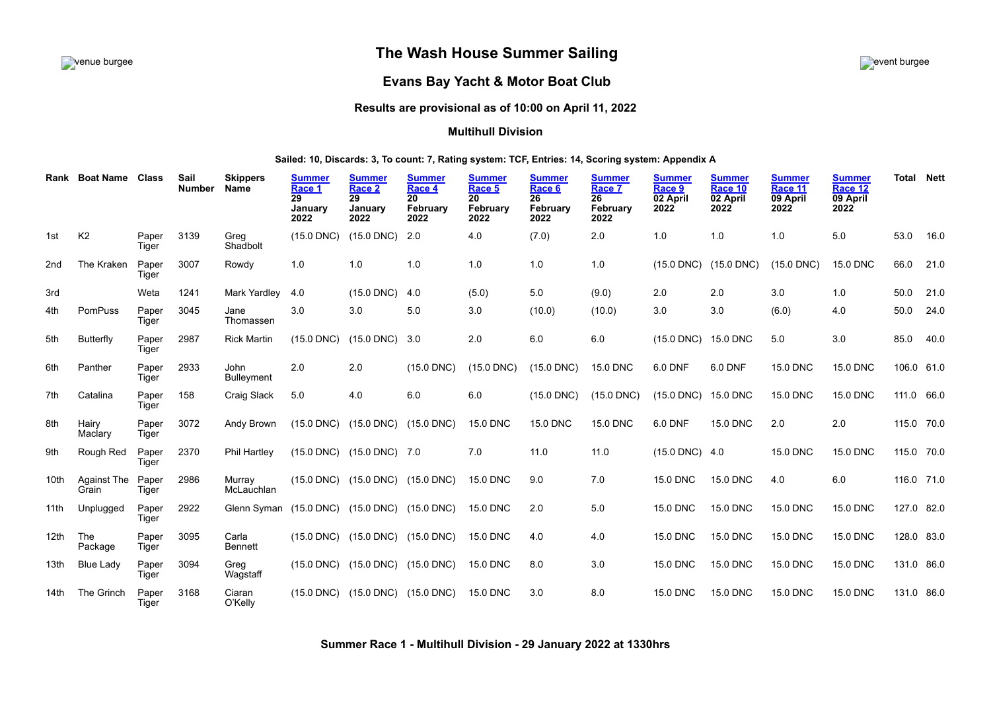# venue burgee event burgee **The Wash House Summer Sailing**



# **Evans Bay Yacht & Motor Boat Club**

# **Results are provisional as of 10:00 on April 11, 2022**

## **Multihull Division**

## **Sailed: 10, Discards: 3, To count: 7, Rating system: TCF, Entries: 14, Scoring system: Appendix A**

| Rank             | <b>Boat Name</b>     | <b>Class</b>   | Sail<br><b>Number</b> | <b>Skippers</b><br><b>Name</b> | <b>Summer</b><br>Race 1<br>29<br>January<br>2022 | <b>Summer</b><br>Race 2<br>29<br>January<br>2022 | <b>Summer</b><br>Race 4<br>20<br>February<br>2022 | <b>Summer</b><br>Race 5<br>20<br>February<br>2022 | <b>Summer</b><br>Race 6<br>26<br>February<br>2022 | <b>Summer</b><br>Race 7<br>26<br>February<br>2022 | <b>Summer</b><br>Race 9<br>02 April<br>2022 | <b>Summer</b><br>Race 10<br>02 April<br>2022 | <b>Summer</b><br>Race 11<br>09 April<br>2022 | <b>Summer</b><br>Race 12<br>09 April<br>2022 | <b>Total Nett</b> |      |
|------------------|----------------------|----------------|-----------------------|--------------------------------|--------------------------------------------------|--------------------------------------------------|---------------------------------------------------|---------------------------------------------------|---------------------------------------------------|---------------------------------------------------|---------------------------------------------|----------------------------------------------|----------------------------------------------|----------------------------------------------|-------------------|------|
| 1st              | K <sub>2</sub>       | Paper<br>Tiger | 3139                  | Greg<br>Shadbolt               | $(15.0$ DNC)                                     | $(15.0$ DNC)                                     | 2.0                                               | 4.0                                               | (7.0)                                             | 2.0                                               | 1.0                                         | 1.0                                          | 1.0                                          | 5.0                                          | 53.0              | 16.0 |
| 2nd              | The Kraken           | Paper<br>Tiger | 3007                  | Rowdy                          | 1.0                                              | 1.0                                              | 1.0                                               | 1.0                                               | 1.0                                               | 1.0                                               |                                             | (15.0 DNC) (15.0 DNC)                        | $(15.0$ DNC)                                 | <b>15.0 DNC</b>                              | 66.0              | 21.0 |
| 3rd              |                      | Weta           | 1241                  | Mark Yardley                   | 4.0                                              | $(15.0$ DNC)                                     | 4.0                                               | (5.0)                                             | 5.0                                               | (9.0)                                             | 2.0                                         | 2.0                                          | 3.0                                          | 1.0                                          | 50.0              | 21.0 |
| 4th              | PomPuss              | Paper<br>Tiger | 3045                  | Jane<br>Thomassen              | 3.0                                              | 3.0                                              | 5.0                                               | 3.0                                               | (10.0)                                            | (10.0)                                            | 3.0                                         | 3.0                                          | (6.0)                                        | 4.0                                          | 50.0              | 24.0 |
| 5th              | Butterfly            | Paper<br>Tiger | 2987                  | <b>Rick Martin</b>             | $(15.0$ DNC)                                     | $(15.0$ DNC)                                     | 3.0                                               | 2.0                                               | 6.0                                               | 6.0                                               | (15.0 DNC) 15.0 DNC                         |                                              | 5.0                                          | 3.0                                          | 85.0              | 40.0 |
| 6th              | Panther              | Paper<br>Tiger | 2933                  | John<br><b>Bulleyment</b>      | 2.0                                              | 2.0                                              | $(15.0$ DNC)                                      | $(15.0$ DNC)                                      | $(15.0$ DNC)                                      | <b>15.0 DNC</b>                                   | 6.0 DNF                                     | 6.0 DNF                                      | <b>15.0 DNC</b>                              | <b>15.0 DNC</b>                              | 106.0 61.0        |      |
| 7th              | Catalina             | Paper<br>Tiger | 158                   | Craig Slack                    | 5.0                                              | 4.0                                              | 6.0                                               | 6.0                                               | $(15.0$ DNC)                                      | $(15.0$ DNC)                                      | $(15.0$ DNC)                                | <b>15.0 DNC</b>                              | <b>15.0 DNC</b>                              | <b>15.0 DNC</b>                              | 111.0 66.0        |      |
| 8th              | Hairy<br>Maclary     | Paper<br>Tiger | 3072                  | Andy Brown                     | $(15.0$ DNC)                                     | $(15.0$ DNC)                                     | $(15.0$ DNC)                                      | <b>15.0 DNC</b>                                   | <b>15.0 DNC</b>                                   | <b>15.0 DNC</b>                                   | 6.0 DNF                                     | <b>15.0 DNC</b>                              | 2.0                                          | 2.0                                          | 115.0 70.0        |      |
| 9th              | Rough Red            | Paper<br>Tiger | 2370                  | Phil Hartley                   |                                                  | (15.0 DNC) (15.0 DNC) 7.0                        |                                                   | 7.0                                               | 11.0                                              | 11.0                                              | $(15.0$ DNC) $4.0$                          |                                              | <b>15.0 DNC</b>                              | <b>15.0 DNC</b>                              | 115.0 70.0        |      |
| 10th             | Against The<br>Grain | Paper<br>Tiger | 2986                  | Murray<br>McLauchlan           | $(15.0$ DNC)                                     | $(15.0$ DNC)                                     | $(15.0$ DNC)                                      | <b>15.0 DNC</b>                                   | 9.0                                               | 7.0                                               | <b>15.0 DNC</b>                             | <b>15.0 DNC</b>                              | 4.0                                          | 6.0                                          | 116.0 71.0        |      |
| 11th             | Unplugged            | Paper<br>Tiger | 2922                  | Glenn Syman                    | $(15.0$ DNC)                                     | $(15.0 \text{ DNC})$ $(15.0 \text{ DNC})$        |                                                   | <b>15.0 DNC</b>                                   | 2.0                                               | 5.0                                               | <b>15.0 DNC</b>                             | <b>15.0 DNC</b>                              | <b>15.0 DNC</b>                              | <b>15.0 DNC</b>                              | 127.0 82.0        |      |
| 12 <sup>th</sup> | The<br>Package       | Paper<br>Tiger | 3095                  | Carla<br><b>Bennett</b>        | $(15.0$ DNC $)$                                  |                                                  | $(15.0 \text{ DNC})$ $(15.0 \text{ DNC})$         | 15.0 DNC                                          | 4.0                                               | 4.0                                               | <b>15.0 DNC</b>                             | <b>15.0 DNC</b>                              | <b>15.0 DNC</b>                              | <b>15.0 DNC</b>                              | 128.0 83.0        |      |
| 13 <sub>th</sub> | <b>Blue Lady</b>     | Paper<br>Tiger | 3094                  | Greg<br>Wagstaff               | $(15.0$ DNC)                                     | $(15.0$ DNC)                                     | $(15.0$ DNC)                                      | <b>15.0 DNC</b>                                   | 8.0                                               | 3.0                                               | <b>15.0 DNC</b>                             | <b>15.0 DNC</b>                              | <b>15.0 DNC</b>                              | <b>15.0 DNC</b>                              | 131.0 86.0        |      |
| 14th             | The Grinch           | Paper<br>Tiger | 3168                  | Ciaran<br>O'Kelly              | $(15.0$ DNC)                                     | $(15.0$ DNC)                                     | $(15.0$ DNC)                                      | <b>15.0 DNC</b>                                   | 3.0                                               | 8.0                                               | <b>15.0 DNC</b>                             | <b>15.0 DNC</b>                              | <b>15.0 DNC</b>                              | <b>15.0 DNC</b>                              | 131.0 86.0        |      |

<span id="page-0-0"></span>**Summer Race 1 - Multihull Division - 29 January 2022 at 1330hrs**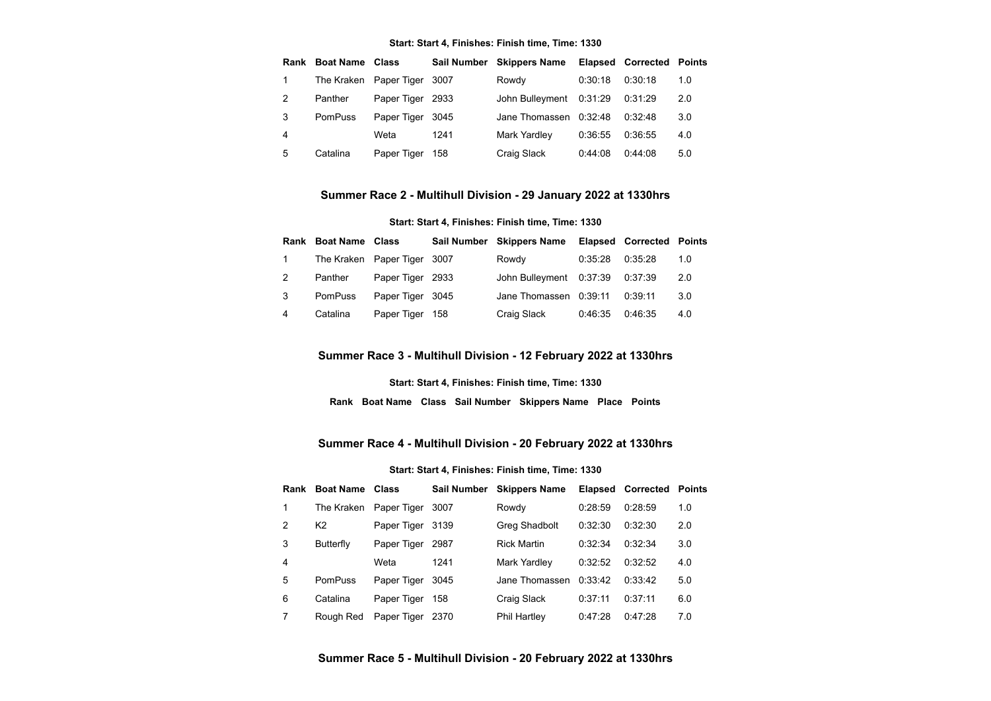#### **Start: Start 4, Finishes: Finish time, Time: 1330**

| Rank | <b>Boat Name Class</b> |                        |      | Sail Number Skippers Name |         | <b>Elapsed Corrected Points</b> |     |
|------|------------------------|------------------------|------|---------------------------|---------|---------------------------------|-----|
|      |                        | The Kraken Paper Tiger | 3007 | Rowdy                     | 0:30:18 | 0:30:18                         | 1.0 |
| 2    | Panther                | Paper Tiger 2933       |      | John Bulleyment           | 0:31:29 | 0:31:29                         | 2.0 |
| 3    | <b>PomPuss</b>         | Paper Tiger            | 3045 | Jane Thomassen            | 0:32:48 | 0:32:48                         | 3.0 |
| 4    |                        | Weta                   | 1241 | Mark Yardley              | 0:36:55 | 0:36:55                         | 4.0 |
| 5    | Catalina               | Paper Tiger            | 158  | Craig Slack               | 0:44:08 | 0:44:08                         | 5.0 |

#### **Summer Race 2 - Multihull Division - 29 January 2022 at 1330hrs**

#### **Start: Start 4, Finishes: Finish time, Time: 1330**

<span id="page-1-0"></span>

|              | <b>Rank Boat Name Class</b> |                             | Sail Number Skippers Name       |         | <b>Elapsed Corrected Points</b> |     |
|--------------|-----------------------------|-----------------------------|---------------------------------|---------|---------------------------------|-----|
| $\mathbf{1}$ |                             | The Kraken Paper Tiger 3007 | Rowdy                           | 0:35:28 | 0:35:28                         | 1.0 |
|              | Panther                     | Paper Tiger 2933            | John Bulleyment 0:37:39 0:37:39 |         |                                 | 2.0 |
| 3            | <b>PomPuss</b>              | Paper Tiger 3045            | Jane Thomassen 0:39:11          |         | 0:39:11                         | 3.0 |
| 4            | Catalina                    | Paper Tiger 158             | Craig Slack                     | 0:46:35 | 0:46:35                         | 4.0 |

## **Summer Race 3 - Multihull Division - 12 February 2022 at 1330hrs**

**Start: Start 4, Finishes: Finish time, Time: 1330**

**Rank Boat Name Class Sail Number Skippers Name Place Points**

## **Summer Race 4 - Multihull Division - 20 February 2022 at 1330hrs**

#### **Start: Start 4, Finishes: Finish time, Time: 1330**

<span id="page-1-2"></span><span id="page-1-1"></span>

|   | Rank Boat Name Class |                  | <b>Sail Number</b> | <b>Skippers Name</b> |         | Elapsed Corrected | Points |
|---|----------------------|------------------|--------------------|----------------------|---------|-------------------|--------|
| 1 | The Kraken           | Paper Tiger      | 3007               | Rowdy                | 0:28:59 | 0:28:59           | 1.0    |
| 2 | K2                   | Paper Tiger      | 3139               | Greg Shadbolt        | 0:32:30 | 0:32:30           | 2.0    |
| 3 | Butterfly            | Paper Tiger      | 2987               | <b>Rick Martin</b>   | 0:32:34 | 0:32:34           | 3.0    |
| 4 |                      | Weta             | 1241               | Mark Yardley         | 0:32:52 | 0:32:52           | 4.0    |
| 5 | <b>PomPuss</b>       | Paper Tiger      | 3045               | Jane Thomassen       | 0:33:42 | 0.33.42           | 5.0    |
| 6 | Catalina             | Paper Tiger      | 158                | Craig Slack          | 0:37:11 | 0:37:11           | 6.0    |
|   | Rough Red            | Paper Tiger 2370 |                    | <b>Phil Hartley</b>  | 0:47:28 | 0:47:28           | 7.0    |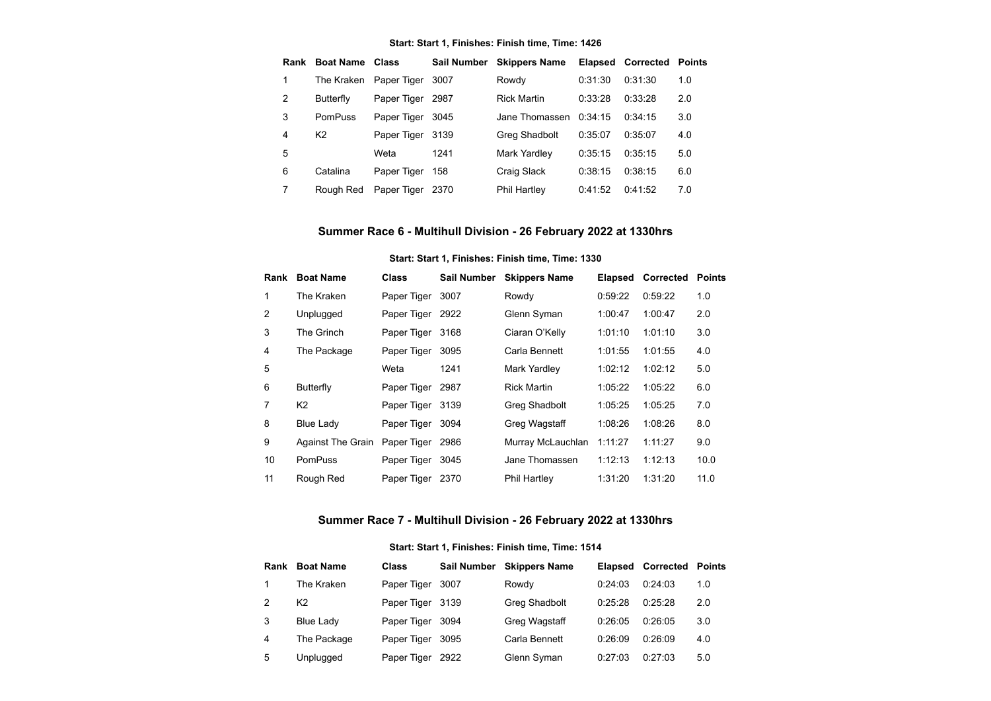#### **Start: Start 1, Finishes: Finish time, Time: 1426**

| Rank | <b>Boat Name</b> Class |                        | <b>Sail Number</b> | <b>Skippers Name</b> |         | Elapsed Corrected | Points |
|------|------------------------|------------------------|--------------------|----------------------|---------|-------------------|--------|
| 1    |                        | The Kraken Paper Tiger | 3007               | Rowdy                | 0:31:30 | 0:31:30           | 1.0    |
| 2    | <b>Butterfly</b>       | Paper Tiger            | 2987               | <b>Rick Martin</b>   | 0:33:28 | 0:33:28           | 2.0    |
| 3    | PomPuss                | Paper Tiger            | 3045               | Jane Thomassen       | 0:34:15 | 0.34:15           | 3.0    |
| 4    | K <sub>2</sub>         | Paper Tiger 3139       |                    | Greg Shadbolt        | 0:35:07 | 0:35:07           | 4.0    |
| 5    |                        | Weta                   | 1241               | Mark Yardley         | 0:35:15 | 0:35:15           | 5.0    |
| 6    | Catalina               | Paper Tiger            | 158                | Craig Slack          | 0:38:15 | 0:38:15           | 6.0    |
| 7    | Rough Red              | Paper Tiger            | - 2370             | Phil Hartley         | 0:41:52 | 0:41:52           | 7.0    |

# **Summer Race 6 - Multihull Division - 26 February 2022 at 1330hrs**

## **Start: Start 1, Finishes: Finish time, Time: 1330**

<span id="page-2-0"></span>

|                | <b>Rank</b> Boat Name    | <b>Class</b> | <b>Sail Number</b> | <b>Skippers Name</b> | <b>Elapsed</b> | Corrected | <b>Points</b> |
|----------------|--------------------------|--------------|--------------------|----------------------|----------------|-----------|---------------|
| 1              | The Kraken               | Paper Tiger  | 3007               | Rowdy                | 0:59:22        | 0:59:22   | 1.0           |
| $\overline{2}$ | Unplugged                | Paper Tiger  | 2922               | Glenn Syman          | 1:00:47        | 1:00:47   | 2.0           |
| 3              | The Grinch               | Paper Tiger  | 3168               | Ciaran O'Kelly       | 1:01:10        | 1:01:10   | 3.0           |
| 4              | The Package              | Paper Tiger  | 3095               | Carla Bennett        | 1:01:55        | 1:01:55   | 4.0           |
| 5              |                          | Weta         | 1241               | Mark Yardley         | 1:02:12        | 1:02:12   | 5.0           |
| 6              | <b>Butterfly</b>         | Paper Tiger  | 2987               | <b>Rick Martin</b>   | 1:05:22        | 1:05:22   | 6.0           |
| 7              | K <sub>2</sub>           | Paper Tiger  | 3139               | Greg Shadbolt        | 1:05:25        | 1:05:25   | 7.0           |
| 8              | <b>Blue Lady</b>         | Paper Tiger  | 3094               | Greg Wagstaff        | 1:08:26        | 1:08:26   | 8.0           |
| 9              | <b>Against The Grain</b> | Paper Tiger  | 2986               | Murray McLauchlan    | 1:11:27        | 1:11:27   | 9.0           |
| 10             | <b>PomPuss</b>           | Paper Tiger  | 3045               | Jane Thomassen       | 1:12:13        | 1:12:13   | 10.0          |
| 11             | Rough Red                | Paper Tiger  | 2370               | <b>Phil Hartley</b>  | 1:31:20        | 1:31:20   | 11.0          |

# **Summer Race 7 - Multihull Division - 26 February 2022 at 1330hrs**

## **Start: Start 1, Finishes: Finish time, Time: 1514**

<span id="page-2-1"></span>

| Rank | <b>Boat Name</b> | <b>Class</b>     | <b>Sail Number</b> | <b>Skippers Name</b> | <b>Elapsed</b> | Corrected | Points |
|------|------------------|------------------|--------------------|----------------------|----------------|-----------|--------|
|      | The Kraken       | Paper Tiger      | 3007               | Rowdy                | 0:24:03        | 0:24:03   | 1.0    |
| 2    | K <sub>2</sub>   | Paper Tiger 3139 |                    | Greg Shadbolt        | 0:25:28        | 0:25:28   | 2.0    |
| 3    | Blue Lady        | Paper Tiger      | 3094               | Greg Wagstaff        | 0:26:05        | 0:26:05   | 3.0    |
| 4    | The Package      | Paper Tiger      | 3095               | Carla Bennett        | 0:26:09        | 0:26:09   | 4.0    |
| 5    | Unplugged        | Paper Tiger      | 2922               | Glenn Syman          | 0:27:03        | 0:27:03   | 5.0    |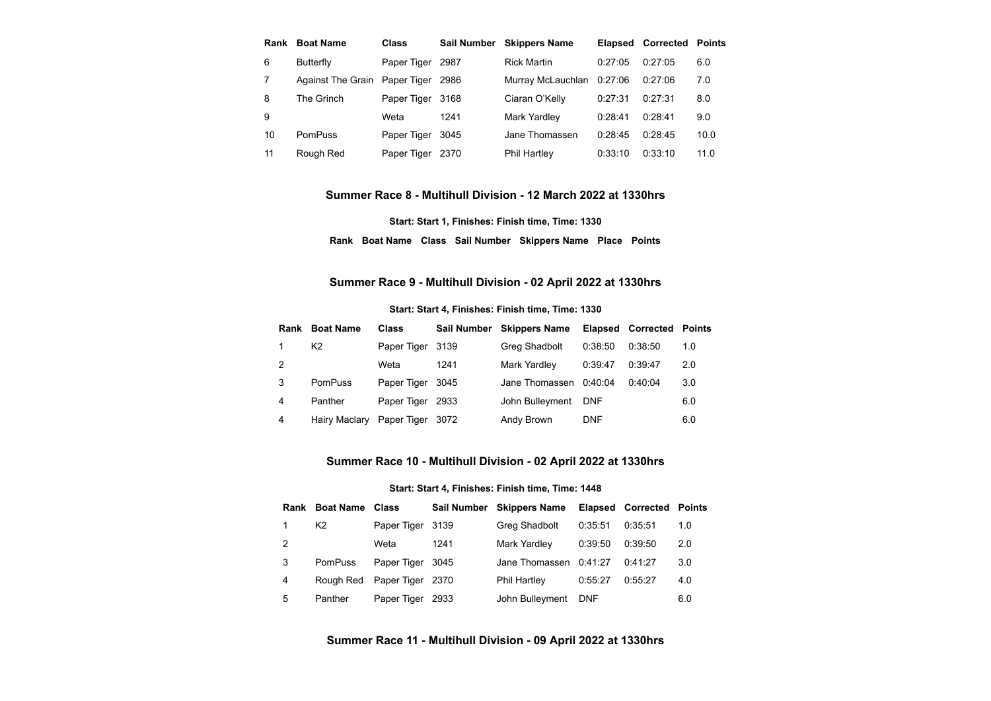| Rank | <b>Boat Name</b>              | <b>Class</b> | <b>Sail Number</b> | <b>Skippers Name</b> | <b>Elapsed</b> | <b>Corrected Points</b> |      |
|------|-------------------------------|--------------|--------------------|----------------------|----------------|-------------------------|------|
| 6    | <b>Butterfly</b>              | Paper Tiger  | 2987               | <b>Rick Martin</b>   | 0:27:05        | 0.27.05                 | 6.0  |
|      | Against The Grain Paper Tiger |              | 2986               | Murray McLauchlan    | 0:27:06        | 0.27:06                 | 7.0  |
| 8    | The Grinch                    | Paper Tiger  | 3168               | Ciaran O'Kelly       | 0:27:31        | 0:27:31                 | 8.0  |
| 9    |                               | Weta         | 1241               | Mark Yardley         | 0:28:41        | 0.28:41                 | 9.0  |
| 10   | <b>PomPuss</b>                | Paper Tiger  | 3045               | Jane Thomassen       | 0:28:45        | 0:28:45                 | 10.0 |
| 11   | Rough Red                     | Paper Tiger  | 2370               | <b>Phil Hartley</b>  | 0:33:10        | 0:33:10                 | 11.0 |

#### **Summer Race 8 - Multihull Division - 12 March 2022 at 1330hrs**

**Start: Start 1, Finishes: Finish time, Time: 1330 Rank Boat Name Class Sail Number Skippers Name Place Points**

## **Summer Race 9 - Multihull Division - 02 April 2022 at 1330hrs**

#### **Start: Start 4, Finishes: Finish time, Time: 1330**

<span id="page-3-0"></span>

|   | <b>Rank</b> Boat Name | <b>Class</b>     |      | Sail Number Skippers Name | <b>Elapsed</b> | <b>Corrected Points</b> |     |
|---|-----------------------|------------------|------|---------------------------|----------------|-------------------------|-----|
|   | K <sub>2</sub>        | Paper Tiger 3139 |      | Greg Shadbolt             | 0:38:50        | 0:38:50                 | 1.0 |
| 2 |                       | Weta             | 1241 | Mark Yardley              | 0:39:47        | 0:39:47                 | 2.0 |
| 3 | <b>PomPuss</b>        | Paper Tiger 3045 |      | Jane Thomassen 0:40:04    |                | 0:40:04                 | 3.0 |
| 4 | Panther               | Paper Tiger 2933 |      | John Bulleyment           | <b>DNF</b>     |                         | 6.0 |
| 4 | Hairy Maclary         | Paper Tiger      | 3072 | Andy Brown                | <b>DNF</b>     |                         | 6.0 |

## **Summer Race 10 - Multihull Division - 02 April 2022 at 1330hrs**

#### **Start: Start 4, Finishes: Finish time, Time: 1448**

<span id="page-3-2"></span><span id="page-3-1"></span>

|   | <b>Rank Boat Name Class</b> |                            |      | Sail Number Skippers Name |            | <b>Elapsed Corrected Points</b> |     |
|---|-----------------------------|----------------------------|------|---------------------------|------------|---------------------------------|-----|
|   | K <sub>2</sub>              | Paper Tiger 3139           |      | Greg Shadbolt             | 0:35:51    | 0:35:51                         | 1.0 |
| 2 |                             | Weta                       | 1241 | Mark Yardley              | 0:39:50    | 0:39:50                         | 2.0 |
| 3 | <b>PomPuss</b>              | Paper Tiger 3045           |      | Jane Thomassen            | 0:41:27    | 0:41:27                         | 3.0 |
| 4 |                             | Rough Red Paper Tiger 2370 |      | <b>Phil Hartley</b>       | 0:55:27    | 0:55:27                         | 4.0 |
| 5 | Panther                     | Paper Tiger                | 2933 | John Bulleyment           | <b>DNF</b> |                                 | 6.0 |

# **Summer Race 11 - Multihull Division - 09 April 2022 at 1330hrs**